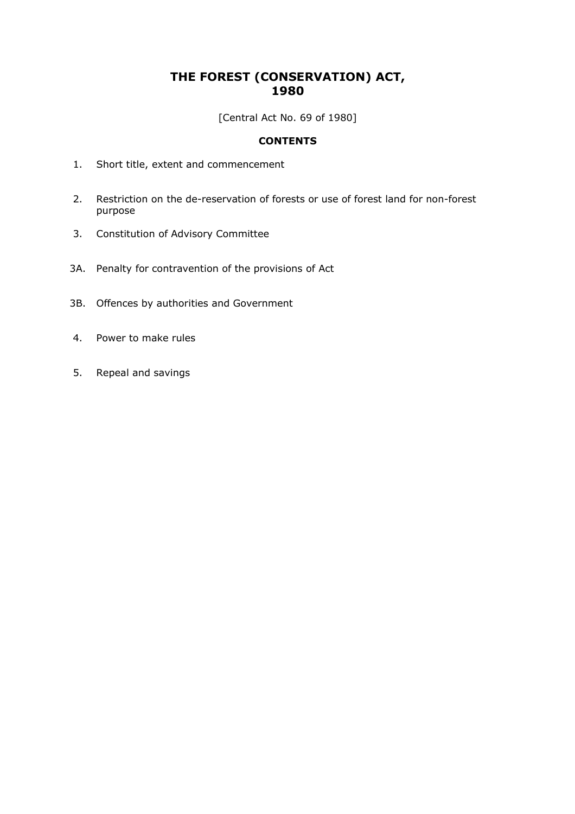## **THE FOREST (CONSERVATION) ACT, 1980**

[Central Act No. 69 of 1980]

## **CONTENTS**

- 1. Short title, extent and commencement
- 2. Restriction on the de-reservation of forests or use of forest land for non-forest purpose
- 3. Constitution of Advisory Committee
- 3A. Penalty for contravention of the provisions of Act
- 3B. Offences by authorities and Government
- 4. Power to make rules
- 5. Repeal and savings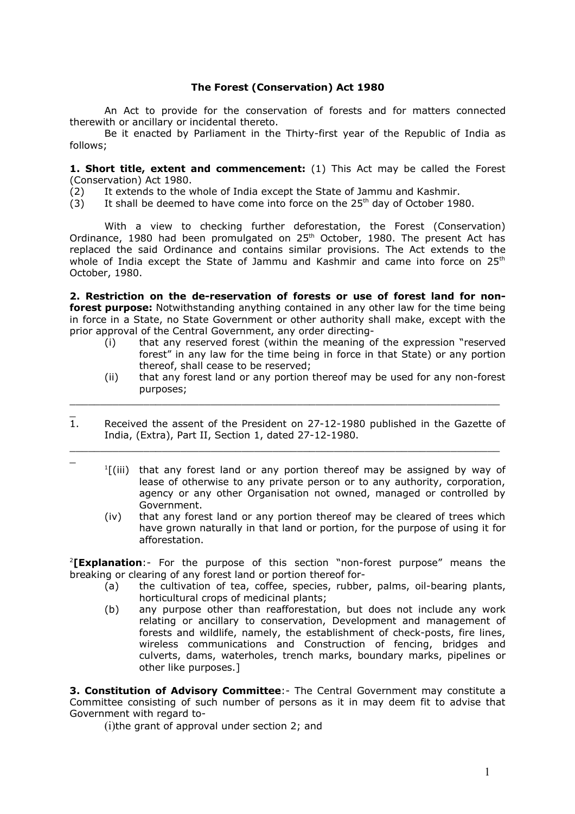## **The Forest (Conservation) Act 1980**

An Act to provide for the conservation of forests and for matters connected therewith or ancillary or incidental thereto.

Be it enacted by Parliament in the Thirty-first year of the Republic of India as follows;

**1. Short title, extent and commencement:** (1) This Act may be called the Forest (Conservation) Act 1980.

 $(2)$  It extends to the whole of India except the State of Jammu and Kashmir.

 $(3)$  It shall be deemed to have come into force on the 25<sup>th</sup> day of October 1980.

With a view to checking further deforestation, the Forest (Conservation) Ordinance, 1980 had been promulgated on 25<sup>th</sup> October, 1980. The present Act has replaced the said Ordinance and contains similar provisions. The Act extends to the whole of India except the State of Jammu and Kashmir and came into force on  $25<sup>th</sup>$ October, 1980.

**2. Restriction on the de-reservation of forests or use of forest land for nonforest purpose:** Notwithstanding anything contained in any other law for the time being in force in a State, no State Government or other authority shall make, except with the prior approval of the Central Government, any order directing-

- (i) that any reserved forest (within the meaning of the expression "reserved forest" in any law for the time being in force in that State) or any portion thereof, shall cease to be reserved;
- (ii) that any forest land or any portion thereof may be used for any non-forest purposes;
- $\overline{1}$ . Received the assent of the President on 27-12-1980 published in the Gazette of India, (Extra), Part II, Section 1, dated 27-12-1980.

 $\_$  , and the contribution of the contribution of  $\mathcal{L}_\mathcal{A}$  , and the contribution of  $\mathcal{L}_\mathcal{A}$ 

 $\_$  , and the contribution of the contribution of  $\mathcal{L}_\mathcal{A}$  , and the contribution of  $\mathcal{L}_\mathcal{A}$ 

- 1 [(iii) that any forest land or any portion thereof may be assigned by way of lease of otherwise to any private person or to any authority, corporation, agency or any other Organisation not owned, managed or controlled by Government.
	- (iv) that any forest land or any portion thereof may be cleared of trees which have grown naturally in that land or portion, for the purpose of using it for afforestation.

2 **[Explanation**:- For the purpose of this section "non-forest purpose" means the breaking or clearing of any forest land or portion thereof for-

- (a) the cultivation of tea, coffee, species, rubber, palms, oil-bearing plants, horticultural crops of medicinal plants;
- (b) any purpose other than reafforestation, but does not include any work relating or ancillary to conservation, Development and management of forests and wildlife, namely, the establishment of check-posts, fire lines, wireless communications and Construction of fencing, bridges and culverts, dams, waterholes, trench marks, boundary marks, pipelines or other like purposes.]

**3. Constitution of Advisory Committee**:- The Central Government may constitute a Committee consisting of such number of persons as it in may deem fit to advise that Government with regard to-

(i)the grant of approval under section 2; and

 $\equiv$